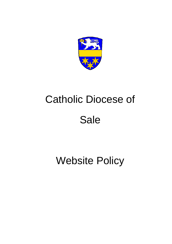

# Catholic Diocese of **Sale**

Website Policy